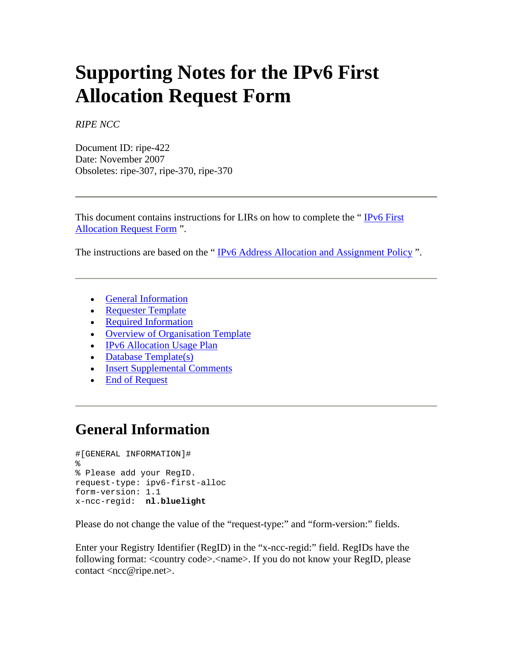# **Supporting Notes for the IPv6 First Allocation Request Form**

*RIPE NCC*

Document ID: ripe-422 Date: November 2007 Obsoletes: ripe-307, ripe-370, ripe-370

This document contains instructions for LIRs on how to complete the " [IPv6 First](http://www.ripe.net/ripe/docs/ipv6-initial.html)  [Allocation Request Form](http://www.ripe.net/ripe/docs/ipv6-initial.html) ".

The instructions are based on the "IPv6 Address Allocation and Assignment Policy".

- [General Information](http://www.ripe.net/ripe/docs/ripe-413.html#general#general)
- [Requester Template](http://www.ripe.net/ripe/docs/ripe-413.html#requester#requester)
- [Required Information](http://www.ripe.net/ripe/docs/ripe-413.html#required#required)
- Overview of Organisation Template
- IPv6 Allocation Usage Plan
- Database Template(s)
- [Insert Supplemental Comments](http://www.ripe.net/ripe/docs/ripe-413.html#comments#comments)
- [End of Request](http://www.ripe.net/ripe/docs/ripe-413.html#end#end)

## **General Information**

```
#[GENERAL INFORMATION]# 
\epsilon% Please add your RegID. 
request-type: ipv6-first-alloc 
form-version: 1.1 
x-ncc-regid: nl.bluelight
```
Please do not change the value of the "request-type:" and "form-version:" fields.

Enter your Registry Identifier (RegID) in the "x-ncc-regid:" field. RegIDs have the following format: <country code>.<name>. If you do not know your RegID, please contact <ncc@ripe.net>.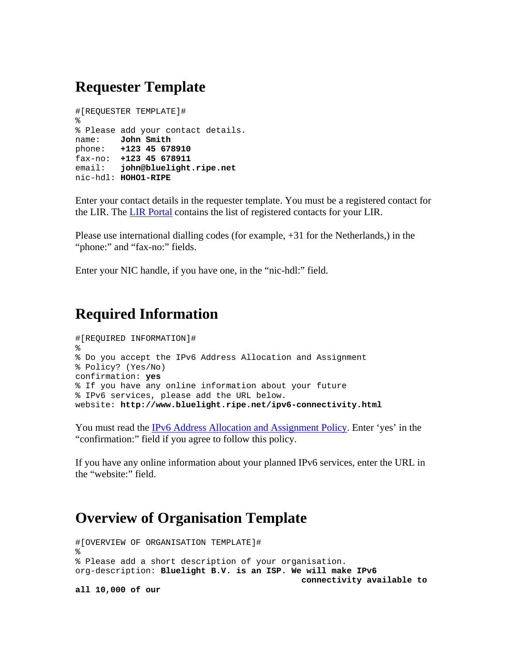## **Requester Template**

```
#[REQUESTER TEMPLATE]# 
% 
% Please add your contact details. 
name: John Smith
phone: +123 45 678910
fax-no: +123 45 678911
email: john@bluelight.ripe.net
nic-hdl: HOHO1-RIPE
```
Enter your contact details in the requester template. You must be a registered contact for the LIR. The [LIR Portal](https://lirportal.ripe.net/) contains the list of registered contacts for your LIR.

Please use international dialling codes (for example, +31 for the Netherlands,) in the "phone:" and "fax-no:" fields.

Enter your NIC handle, if you have one, in the "nic-hdl:" field.

## **Required Information**

```
#[REQUIRED INFORMATION]# 
% 
% Do you accept the IPv6 Address Allocation and Assignment 
% Policy? (Yes/No) 
confirmation: yes
% If you have any online information about your future 
% IPv6 services, please add the URL below. 
website: http://www.bluelight.ripe.net/ipv6-connectivity.html
```
You must read the **IPv6** Address Allocation and Assignment Policy. Enter 'yes' in the "confirmation:" field if you agree to follow this policy.

If you have any online information about your planned IPv6 services, enter the URL in the "website:" field.

#### **Overview of Organisation Template**

```
#[OVERVIEW OF ORGANISATION TEMPLATE]# 
\approx% Please add a short description of your organisation. 
org-description: Bluelight B.V. is an ISP. We will make IPv6 
                                                 connectivity available to 
all 10,000 of our
```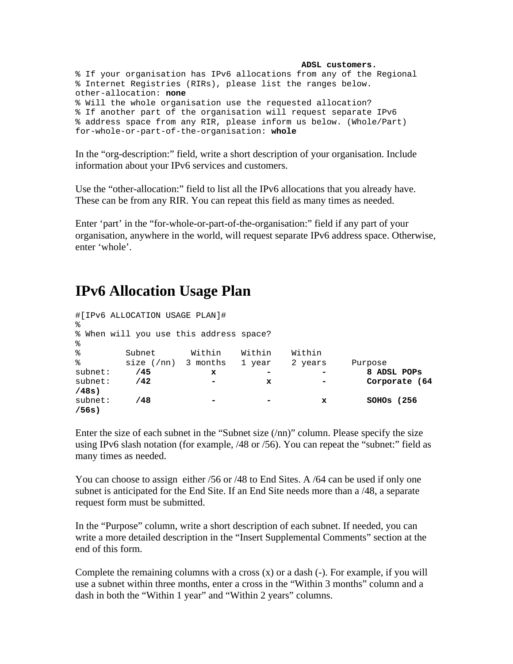```
 ADSL customers.
% If your organisation has IPv6 allocations from any of the Regional 
% Internet Registries (RIRs), please list the ranges below. 
other-allocation: none
% Will the whole organisation use the requested allocation? 
% If another part of the organisation will request separate IPv6 
% address space from any RIR, please inform us below. (Whole/Part) 
for-whole-or-part-of-the-organisation: whole
```
In the "org-description:" field, write a short description of your organisation. Include information about your IPv6 services and customers.

Use the "other-allocation:" field to list all the IPv6 allocations that you already have. These can be from any RIR. You can repeat this field as many times as needed.

Enter 'part' in the "for-whole-or-part-of-the-organisation:" field if any part of your organisation, anywhere in the world, will request separate IPv6 address space. Otherwise, enter 'whole'.

## **IPv6 Allocation Usage Plan**

| ⊱        | #[IPv6 ALLOCATION USAGE PLAN]#          |        |        |         |               |
|----------|-----------------------------------------|--------|--------|---------|---------------|
|          | % When will you use this address space? |        |        |         |               |
| ⊱        |                                         |        |        |         |               |
| ⊱        | Subnet                                  | Within | Within | Within  |               |
| ៖        | $size$ (/nn) 3 months                   |        | 1 year | 2 years | Purpose       |
| subnet:  | /45                                     | x      |        |         | 8 ADSL POPS   |
| subnet:  | /42                                     | -      | x      |         | Corporate (64 |
| $/48s$ ) |                                         |        |        |         |               |
| subnet:  | /48                                     |        |        | x       | $SOHOS$ (256) |
| /56s     |                                         |        |        |         |               |

Enter the size of each subnet in the "Subnet size (/nn)" column. Please specify the size using IPv6 slash notation (for example, /48 or /56). You can repeat the "subnet:" field as many times as needed.

You can choose to assign either /56 or /48 to End Sites. A /64 can be used if only one subnet is anticipated for the End Site. If an End Site needs more than a /48, a separate request form must be submitted.

In the "Purpose" column, write a short description of each subnet. If needed, you can write a more detailed description in the "Insert Supplemental Comments" section at the end of this form.

Complete the remaining columns with a cross  $(x)$  or a dash  $(-)$ . For example, if you will use a subnet within three months, enter a cross in the "Within 3 months" column and a dash in both the "Within 1 year" and "Within 2 years" columns.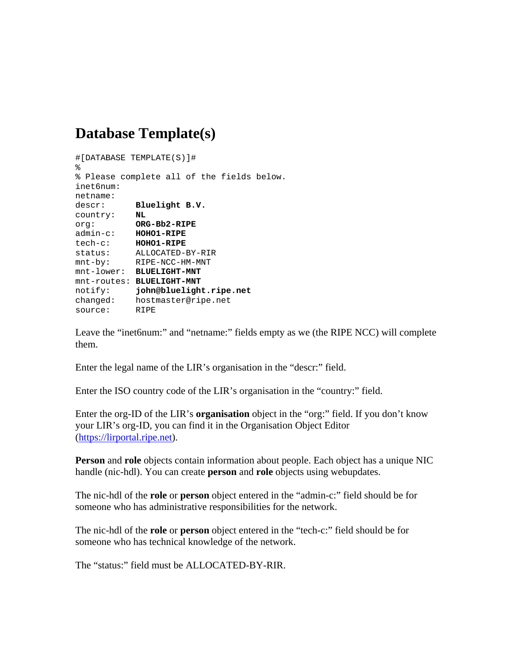## **Database Template(s)**

```
#[DATABASE TEMPLATE(S)]# 
% 
% Please complete all of the fields below. 
inet6num: 
netname: 
descr: Bluelight B.V.
country: NL
org: ORG-Bb2-RIPE
admin-c: HOHO1-RIPE
tech-c: HOHO1-RIPE
status: ALLOCATED-BY-RIR 
mnt-by: RIPE-NCC-HM-MNT 
mnt-lower: BLUELIGHT-MNT
mnt-routes: BLUELIGHT-MNT
notify: john@bluelight.ripe.net
changed: hostmaster@ripe.net 
source: RIPE
```
Leave the "inet6num:" and "netname:" fields empty as we (the RIPE NCC) will complete them.

Enter the legal name of the LIR's organisation in the "descr:" field.

Enter the ISO country code of the LIR's organisation in the "country:" field.

Enter the org-ID of the LIR's **organisation** object in the "org:" field. If you don't know your LIR's org-ID, you can find it in the Organisation Object Editor ([https://lirportal.ripe.net](https://lirportal.ripe.net/)).

**Person** and **role** objects contain information about people. Each object has a unique NIC handle (nic-hdl). You can create **person** and **role** objects using webupdates.

The nic-hdl of the **role** or **person** object entered in the "admin-c:" field should be for someone who has administrative responsibilities for the network.

The nic-hdl of the **role** or **person** object entered in the "tech-c:" field should be for someone who has technical knowledge of the network.

The "status:" field must be ALLOCATED-BY-RIR.